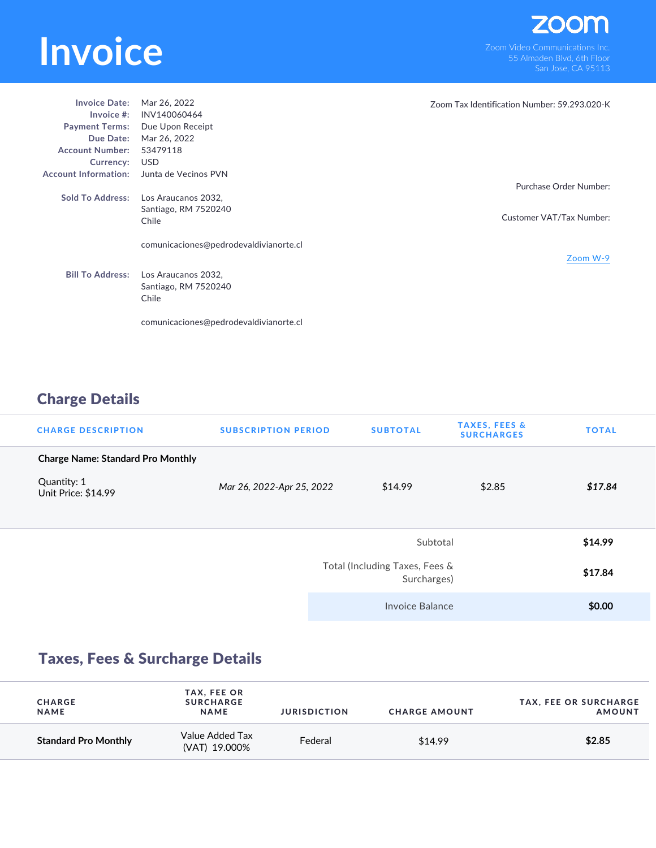## **INVOICE**<br>
Som Video Communications Inc.<br>
San Jose CA 95113

| <b>Invoice Date:</b>        | Mar 26, 2022                           | Zoom Tax Identification Number: 59.293.020-K |
|-----------------------------|----------------------------------------|----------------------------------------------|
| Invoice $#$ :               | INV140060464                           |                                              |
| <b>Payment Terms:</b>       | Due Upon Receipt                       |                                              |
| Due Date:                   | Mar 26, 2022                           |                                              |
| <b>Account Number:</b>      | 53479118                               |                                              |
| Currency:                   | <b>USD</b>                             |                                              |
| <b>Account Information:</b> | Junta de Vecinos PVN                   |                                              |
|                             |                                        | Purchase Order Number:                       |
| <b>Sold To Address:</b>     | Los Araucanos 2032.                    |                                              |
|                             | Santiago, RM 7520240                   |                                              |
|                             | Chile                                  | Customer VAT/Tax Number:                     |
|                             |                                        |                                              |
|                             | comunicaciones@pedrodevaldivianorte.cl |                                              |
|                             |                                        | Zoom W-9                                     |
| <b>Bill To Address:</b>     | Los Araucanos 2032,                    |                                              |
|                             |                                        |                                              |
|                             | Santiago, RM 7520240<br>Chile          |                                              |
|                             |                                        |                                              |
|                             |                                        |                                              |
|                             | comunicaciones@pedrodevaldivianorte.cl |                                              |

## Charge Details

| <b>CHARGE DESCRIPTION</b>                | <b>SUBSCRIPTION PERIOD</b> | <b>SUBTOTAL</b>                               | <b>TAXES, FEES &amp;</b><br><b>SURCHARGES</b> | <b>TOTAL</b> |
|------------------------------------------|----------------------------|-----------------------------------------------|-----------------------------------------------|--------------|
| <b>Charge Name: Standard Pro Monthly</b> |                            |                                               |                                               |              |
| Quantity: 1<br>Unit Price: \$14.99       | Mar 26, 2022-Apr 25, 2022  | \$14.99                                       | \$2.85                                        | \$17.84      |
|                                          |                            | Subtotal                                      |                                               | \$14.99      |
|                                          |                            | Total (Including Taxes, Fees &<br>Surcharges) |                                               |              |
|                                          |                            | Invoice Balance                               |                                               | \$0.00       |

## Taxes, Fees & Surcharge Details

| <b>CHARGE</b><br><b>NAME</b> | <b>TAX, FEE OR</b><br><b>SURCHARGE</b><br><b>NAME</b> | <b>JURISDICTION</b> | <b>CHARGE AMOUNT</b> | <b>TAX, FEE OR SURCHARGE</b><br><b>AMOUNT</b> |
|------------------------------|-------------------------------------------------------|---------------------|----------------------|-----------------------------------------------|
| <b>Standard Pro Monthly</b>  | Value Added Tax<br>(VAT) 19.000%                      | Federal             | \$14.99              | \$2.85                                        |